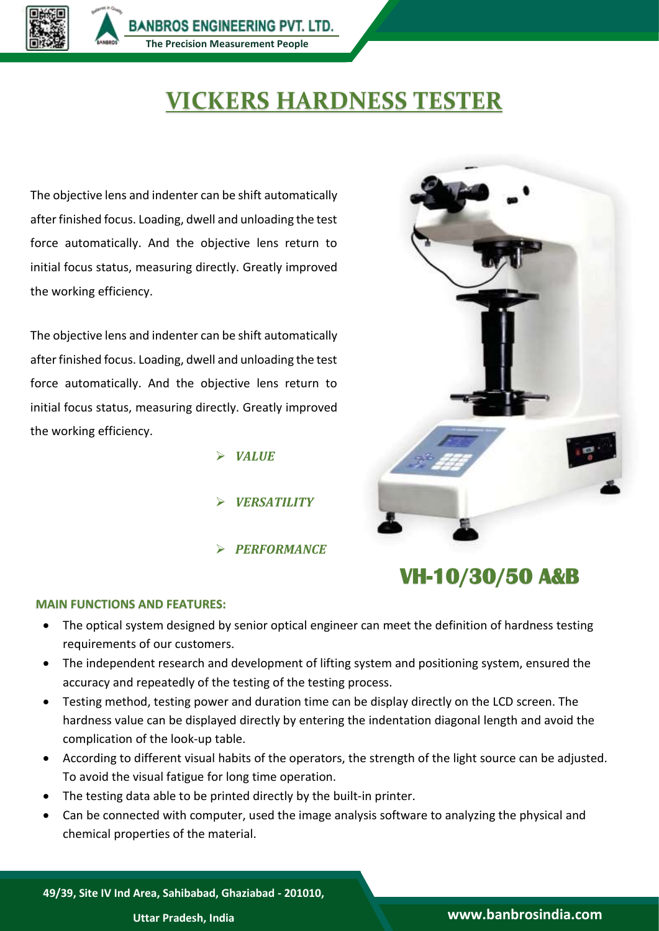

## **VICKERS HARDNESS TESTER**

The objective lens and indenter can be shift automatically after finished focus. Loading, dwell and unloading the test force automatically. And the objective lens return to initial focus status, measuring directly. Greatly improved the working efficiency.

The objective lens and indenter can be shift automatically after finished focus. Loading, dwell and unloading the test force automatically. And the objective lens return to initial focus status, measuring directly. Greatly improved the working efficiency.

- *VALUE*
- *VERSATILITY*
- *PERFORMANCE*



## **VH-10/30/50 A&B**

## **MAIN FUNCTIONS AND FEATURES:**

- The optical system designed by senior optical engineer can meet the definition of hardness testing requirements of our customers.
- The independent research and development of lifting system and positioning system, ensured the accuracy and repeatedly of the testing of the testing process.
- Testing method, testing power and duration time can be display directly on the LCD screen. The hardness value can be displayed directly by entering the indentation diagonal length and avoid the complication of the look-up table.
- According to different visual habits of the operators, the strength of the light source can be adjusted. To avoid the visual fatigue for long time operation.
- The testing data able to be printed directly by the built-in printer.
- Can be connected with computer, used the image analysis software to analyzing the physical and chemical properties of the material.